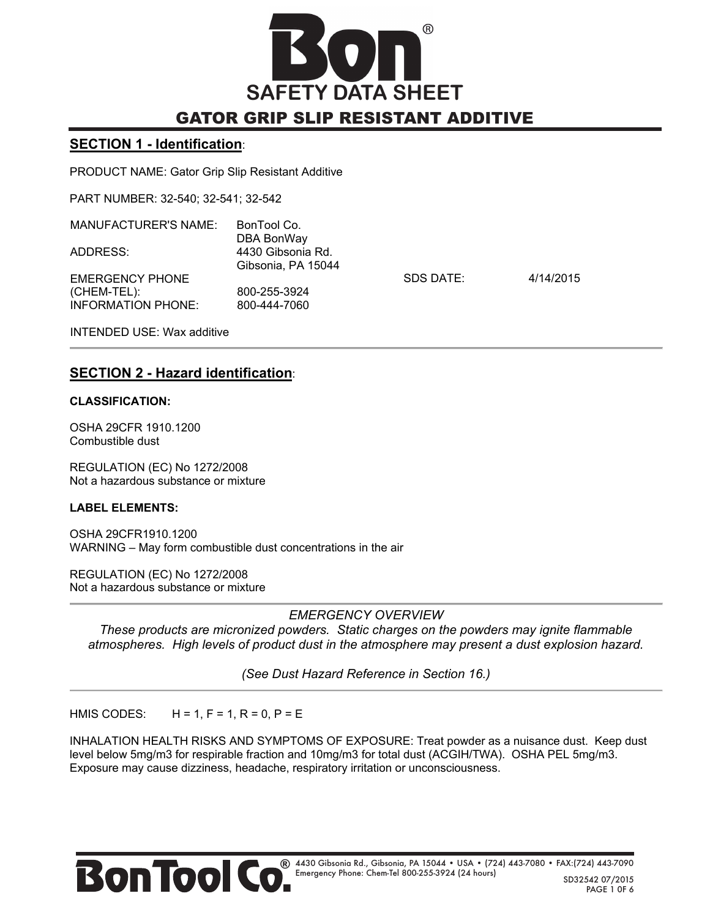

#### **SECTION 1 - Identification**:

PRODUCT NAME: Gator Grip Slip Resistant Additive

PART NUMBER: 32-540; 32-541; 32-542

| <b>MANUFACTURER'S NAME:</b>                          | BonTool Co.<br>DBA BonWay               |           |           |
|------------------------------------------------------|-----------------------------------------|-----------|-----------|
| ADDRESS:                                             | 4430 Gibsonia Rd.<br>Gibsonia, PA 15044 |           |           |
| EMERGENCY PHONE<br>(CHEM-TEL):<br>INFORMATION PHONE: | 800-255-3924<br>800-444-7060            | SDS DATE: | 4/14/2015 |
|                                                      |                                         |           |           |

INTENDED USE: Wax additive

## **SECTION 2 - Hazard identification**:

#### **CLASSIFICATION:**

OSHA 29CFR 1910.1200 Combustible dust

REGULATION (EC) No 1272/2008 Not a hazardous substance or mixture

#### **LABEL ELEMENTS:**

OSHA 29CFR1910.1200 WARNING – May form combustible dust concentrations in the air

REGULATION (EC) No 1272/2008 Not a hazardous substance or mixture

### *EMERGENCY OVERVIEW*

*These products are micronized powders. Static charges on the powders may ignite flammable atmospheres. High levels of product dust in the atmosphere may present a dust explosion hazard.* 

*(See Dust Hazard Reference in Section 16.)* 

HMIS CODES:  $H = 1, F = 1, R = 0, P = E$ 

INHALATION HEALTH RISKS AND SYMPTOMS OF EXPOSURE: Treat powder as a nuisance dust. Keep dust level below 5mg/m3 for respirable fraction and 10mg/m3 for total dust (ACGIH/TWA). OSHA PEL 5mg/m3. Exposure may cause dizziness, headache, respiratory irritation or unconsciousness.

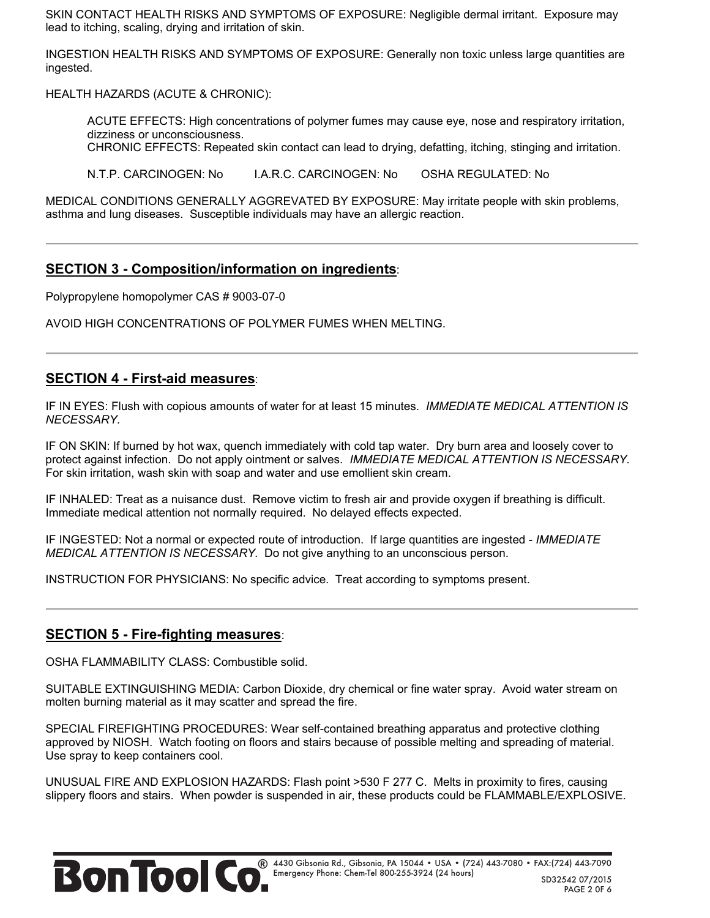SKIN CONTACT HEALTH RISKS AND SYMPTOMS OF EXPOSURE: Negligible dermal irritant. Exposure may lead to itching, scaling, drying and irritation of skin.

INGESTION HEALTH RISKS AND SYMPTOMS OF EXPOSURE: Generally non toxic unless large quantities are ingested.

HEALTH HAZARDS (ACUTE & CHRONIC):

ACUTE EFFECTS: High concentrations of polymer fumes may cause eye, nose and respiratory irritation, dizziness or unconsciousness.

CHRONIC EFFECTS: Repeated skin contact can lead to drying, defatting, itching, stinging and irritation.

N.T.P. CARCINOGEN: No I.A.R.C. CARCINOGEN: No OSHA REGULATED: No

MEDICAL CONDITIONS GENERALLY AGGREVATED BY EXPOSURE: May irritate people with skin problems, asthma and lung diseases. Susceptible individuals may have an allergic reaction.

### **SECTION 3 - Composition/information on ingredients**:

Polypropylene homopolymer CAS # 9003-07-0

AVOID HIGH CONCENTRATIONS OF POLYMER FUMES WHEN MELTING.

### **SECTION 4 - First-aid measures**:

IF IN EYES: Flush with copious amounts of water for at least 15 minutes. *IMMEDIATE MEDICAL ATTENTION IS NECESSARY.*

IF ON SKIN: If burned by hot wax, quench immediately with cold tap water. Dry burn area and loosely cover to protect against infection. Do not apply ointment or salves. *IMMEDIATE MEDICAL ATTENTION IS NECESSARY.* For skin irritation, wash skin with soap and water and use emollient skin cream.

IF INHALED: Treat as a nuisance dust. Remove victim to fresh air and provide oxygen if breathing is difficult. Immediate medical attention not normally required. No delayed effects expected.

IF INGESTED: Not a normal or expected route of introduction. If large quantities are ingested - *IMMEDIATE MEDICAL ATTENTION IS NECESSARY.* Do not give anything to an unconscious person.

INSTRUCTION FOR PHYSICIANS: No specific advice. Treat according to symptoms present.

### **SECTION 5 - Fire-fighting measures**:

OSHA FLAMMABILITY CLASS: Combustible solid.

SUITABLE EXTINGUISHING MEDIA: Carbon Dioxide, dry chemical or fine water spray. Avoid water stream on molten burning material as it may scatter and spread the fire.

SPECIAL FIREFIGHTING PROCEDURES: Wear self-contained breathing apparatus and protective clothing approved by NIOSH. Watch footing on floors and stairs because of possible melting and spreading of material. Use spray to keep containers cool.

UNUSUAL FIRE AND EXPLOSION HAZARDS: Flash point >530 F 277 C. Melts in proximity to fires, causing slippery floors and stairs. When powder is suspended in air, these products could be FLAMMABLE/EXPLOSIVE.

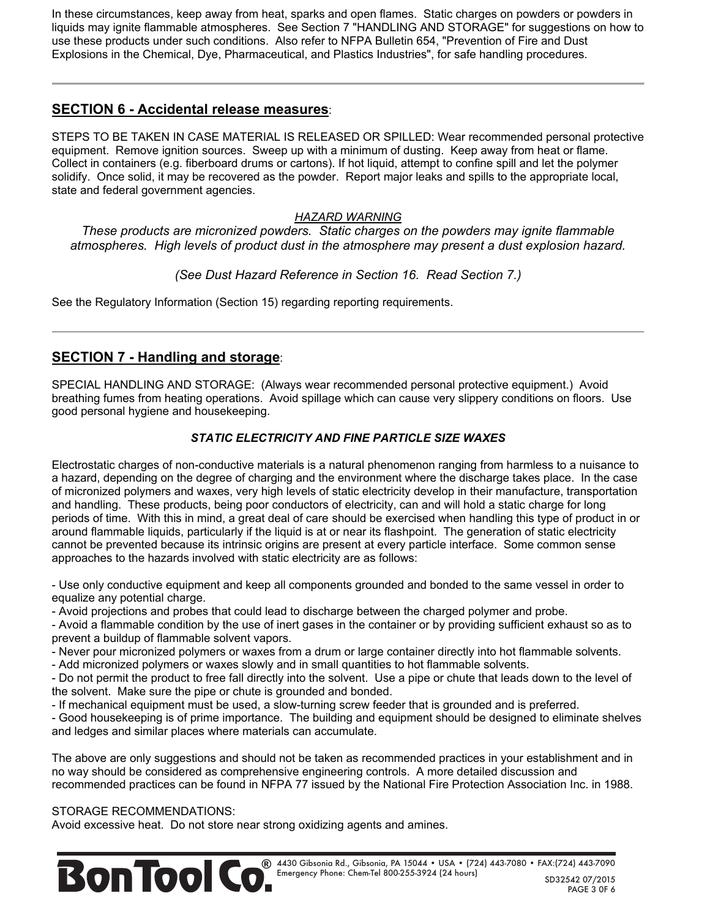In these circumstances, keep away from heat, sparks and open flames. Static charges on powders or powders in liquids may ignite flammable atmospheres. See Section 7 "HANDLING AND STORAGE" for suggestions on how to use these products under such conditions. Also refer to NFPA Bulletin 654, "Prevention of Fire and Dust Explosions in the Chemical, Dye, Pharmaceutical, and Plastics Industries", for safe handling procedures.

## **SECTION 6 - Accidental release measures**:

STEPS TO BE TAKEN IN CASE MATERIAL IS RELEASED OR SPILLED: Wear recommended personal protective equipment. Remove ignition sources. Sweep up with a minimum of dusting. Keep away from heat or flame. Collect in containers (e.g. fiberboard drums or cartons). If hot liquid, attempt to confine spill and let the polymer solidify. Once solid, it may be recovered as the powder. Report major leaks and spills to the appropriate local, state and federal government agencies.

### *HAZARD WARNING*

*These products are micronized powders. Static charges on the powders may ignite flammable atmospheres. High levels of product dust in the atmosphere may present a dust explosion hazard.* 

*(See Dust Hazard Reference in Section 16. Read Section 7.)*

See the Regulatory Information (Section 15) regarding reporting requirements.

# **SECTION 7 - Handling and storage**:

SPECIAL HANDLING AND STORAGE: (Always wear recommended personal protective equipment.) Avoid breathing fumes from heating operations. Avoid spillage which can cause very slippery conditions on floors. Use good personal hygiene and housekeeping.

### *STATIC ELECTRICITY AND FINE PARTICLE SIZE WAXES*

Electrostatic charges of non-conductive materials is a natural phenomenon ranging from harmless to a nuisance to a hazard, depending on the degree of charging and the environment where the discharge takes place. In the case of micronized polymers and waxes, very high levels of static electricity develop in their manufacture, transportation and handling. These products, being poor conductors of electricity, can and will hold a static charge for long periods of time. With this in mind, a great deal of care should be exercised when handling this type of product in or around flammable liquids, particularly if the liquid is at or near its flashpoint. The generation of static electricity cannot be prevented because its intrinsic origins are present at every particle interface. Some common sense approaches to the hazards involved with static electricity are as follows:

- Use only conductive equipment and keep all components grounded and bonded to the same vessel in order to equalize any potential charge.

- Avoid projections and probes that could lead to discharge between the charged polymer and probe.

- Avoid a flammable condition by the use of inert gases in the container or by providing sufficient exhaust so as to prevent a buildup of flammable solvent vapors.

- Never pour micronized polymers or waxes from a drum or large container directly into hot flammable solvents.

- Add micronized polymers or waxes slowly and in small quantities to hot flammable solvents.

- Do not permit the product to free fall directly into the solvent. Use a pipe or chute that leads down to the level of the solvent. Make sure the pipe or chute is grounded and bonded.

- If mechanical equipment must be used, a slow-turning screw feeder that is grounded and is preferred.

- Good housekeeping is of prime importance. The building and equipment should be designed to eliminate shelves and ledges and similar places where materials can accumulate.

The above are only suggestions and should not be taken as recommended practices in your establishment and in no way should be considered as comprehensive engineering controls. A more detailed discussion and recommended practices can be found in NFPA 77 issued by the National Fire Protection Association Inc. in 1988.

### STORAGE RECOMMENDATIONS:

Avoid excessive heat. Do not store near strong oxidizing agents and amines.

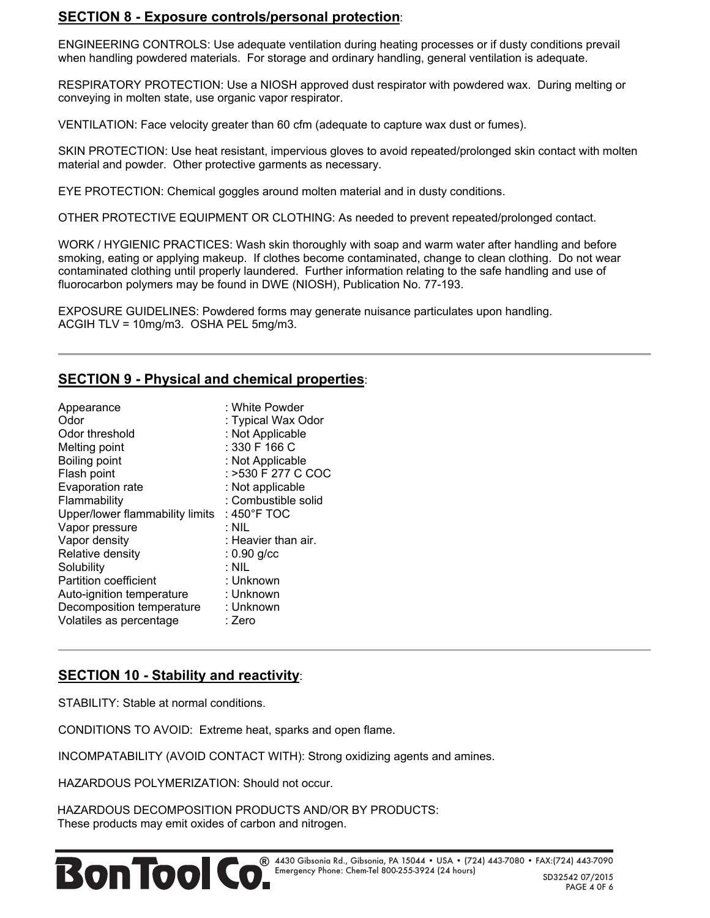## **SECTION 8 - Exposure controls/personal protection**:

ENGINEERING CONTROLS: Use adequate ventilation during heating processes or if dusty conditions prevail when handling powdered materials. For storage and ordinary handling, general ventilation is adequate.

RESPIRATORY PROTECTION: Use a NIOSH approved dust respirator with powdered wax. During melting or conveying in molten state, use organic vapor respirator.

VENTILATION: Face velocity greater than 60 cfm (adequate to capture wax dust or fumes).

SKIN PROTECTION: Use heat resistant, impervious gloves to avoid repeated/prolonged skin contact with molten material and powder. Other protective garments as necessary.

EYE PROTECTION: Chemical goggles around molten material and in dusty conditions.

OTHER PROTECTIVE EQUIPMENT OR CLOTHING: As needed to prevent repeated/prolonged contact.

WORK / HYGIENIC PRACTICES: Wash skin thoroughly with soap and warm water after handling and before smoking, eating or applying makeup. If clothes become contaminated, change to clean clothing. Do not wear contaminated clothing until properly laundered. Further information relating to the safe handling and use of fluorocarbon polymers may be found in DWE (NIOSH), Publication No. 77-193.

EXPOSURE GUIDELINES: Powdered forms may generate nuisance particulates upon handling. ACGIH TLV = 10mg/m3. OSHA PEL 5mg/m3.

## **SECTION 9 - Physical and chemical properties**:

| Appearance<br>Odor<br>Odor threshold<br>Melting point<br>Boiling point<br>Flash point<br>Evaporation rate<br>Flammability<br>Upper/lower flammability limits<br>Vapor pressure | : White Powder<br>: Typical Wax Odor<br>: Not Applicable<br>: 330 F 166 C<br>: Not Applicable<br>: >530 F 277 C COC<br>: Not applicable<br>: Combustible solid<br>: 450°F TOC<br>: Nil |
|--------------------------------------------------------------------------------------------------------------------------------------------------------------------------------|----------------------------------------------------------------------------------------------------------------------------------------------------------------------------------------|
| Vapor density                                                                                                                                                                  | : Heavier than air.                                                                                                                                                                    |
| Relative density                                                                                                                                                               | $: 0.90$ g/cc                                                                                                                                                                          |
| Solubility                                                                                                                                                                     | : Nil                                                                                                                                                                                  |
| <b>Partition coefficient</b>                                                                                                                                                   | : Unknown                                                                                                                                                                              |
| Auto-ignition temperature                                                                                                                                                      | : Unknown                                                                                                                                                                              |
| Decomposition temperature                                                                                                                                                      | : Unknown                                                                                                                                                                              |
| Volatiles as percentage                                                                                                                                                        | : Zero                                                                                                                                                                                 |

# **SECTION 10 - Stability and reactivity**:

STABILITY: Stable at normal conditions.

CONDITIONS TO AVOID: Extreme heat, sparks and open flame.

INCOMPATABILITY (AVOID CONTACT WITH): Strong oxidizing agents and amines.

HAZARDOUS POLYMERIZATION: Should not occur.

HAZARDOUS DECOMPOSITION PRODUCTS AND/OR BY PRODUCTS: These products may emit oxides of carbon and nitrogen.

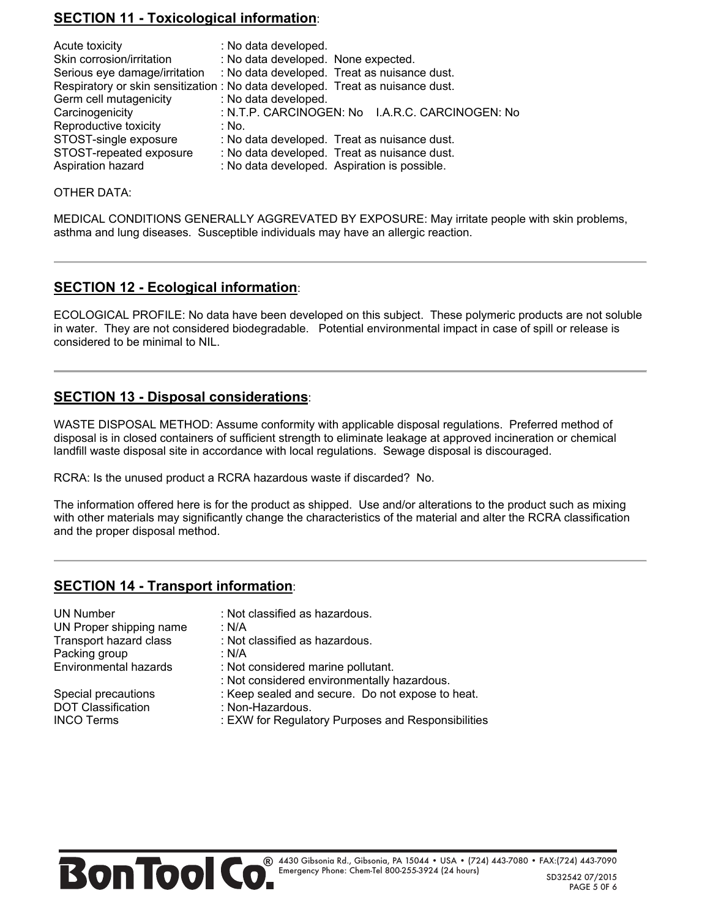# **SECTION 11 - Toxicological information**:

| Acute toxicity                | : No data developed.                                                           |
|-------------------------------|--------------------------------------------------------------------------------|
| Skin corrosion/irritation     | : No data developed. None expected.                                            |
| Serious eye damage/irritation | : No data developed. Treat as nuisance dust.                                   |
|                               | Respiratory or skin sensitization : No data developed. Treat as nuisance dust. |
| Germ cell mutagenicity        | : No data developed.                                                           |
| Carcinogenicity               | : N.T.P. CARCINOGEN: No I.A.R.C. CARCINOGEN: No                                |
| Reproductive toxicity         | : No.                                                                          |
| STOST-single exposure         | : No data developed. Treat as nuisance dust.                                   |
| STOST-repeated exposure       | : No data developed. Treat as nuisance dust.                                   |
| Aspiration hazard             | : No data developed. Aspiration is possible.                                   |

OTHER DATA:

MEDICAL CONDITIONS GENERALLY AGGREVATED BY EXPOSURE: May irritate people with skin problems, asthma and lung diseases. Susceptible individuals may have an allergic reaction.

## **SECTION 12 - Ecological information**:

ECOLOGICAL PROFILE: No data have been developed on this subject. These polymeric products are not soluble in water. They are not considered biodegradable. Potential environmental impact in case of spill or release is considered to be minimal to NIL.

### **SECTION 13 - Disposal considerations**:

WASTE DISPOSAL METHOD: Assume conformity with applicable disposal regulations. Preferred method of disposal is in closed containers of sufficient strength to eliminate leakage at approved incineration or chemical landfill waste disposal site in accordance with local regulations. Sewage disposal is discouraged.

RCRA: Is the unused product a RCRA hazardous waste if discarded? No.

The information offered here is for the product as shipped. Use and/or alterations to the product such as mixing with other materials may significantly change the characteristics of the material and alter the RCRA classification and the proper disposal method.

## **SECTION 14 - Transport information**:

UN Proper shipping name : N/A<br>Transport hazard class : Not Packing group : N/A

DOT Classification : Non-Hazardous.<br>INCO Terms : FXW for Regulation

UN Number : Not classified as hazardous.

- 
- $\cdot$  Not classified as hazardous.
- 
- Environmental hazards : Not considered marine pollutant.
	- : Not considered environmentally hazardous.
- Special precautions : Keep sealed and secure. Do not expose to heat.
	-
	- : EXW for Regulatory Purposes and Responsibilities